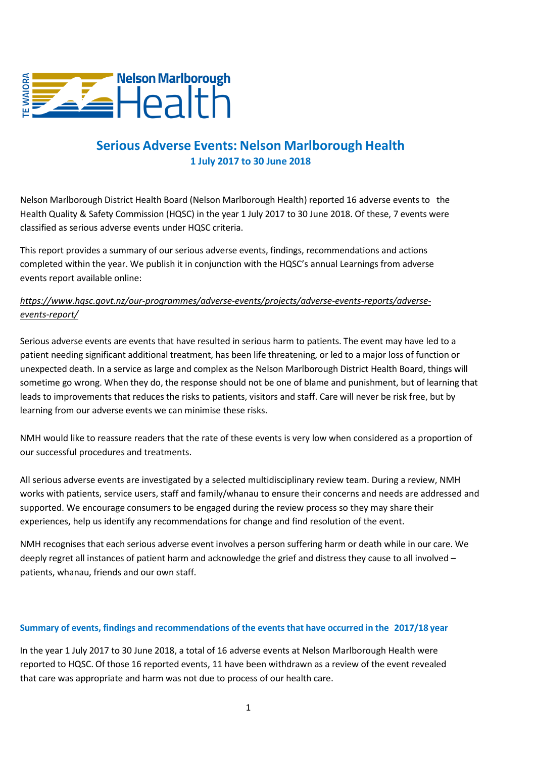

## **Serious Adverse Events: Nelson Marlborough Health 1 July 2017 to 30 June 2018**

Nelson Marlborough District Health Board (Nelson Marlborough Health) reported 16 adverse events to the Health Quality & Safety Commission (HQSC) in the year 1 July 2017 to 30 June 2018. Of these, 7 events were classified as serious adverse events under HQSC criteria.

This report provides a summary of our serious adverse events, findings, recommendations and actions completed within the year. We publish it in conjunction with the HQSC's annual Learnings from adverse events report available online:

## *https://www.hqsc.govt.nz/our-programmes/adverse-events/projects/adverse-events-reports/adverseevents-report/*

Serious adverse events are events that have resulted in serious harm to patients. The event may have led to a patient needing significant additional treatment, has been life threatening, or led to a major loss of function or unexpected death. In a service as large and complex as the Nelson Marlborough District Health Board, things will sometime go wrong. When they do, the response should not be one of blame and punishment, but of learning that leads to improvements that reduces the risks to patients, visitors and staff. Care will never be risk free, but by learning from our adverse events we can minimise these risks.

NMH would like to reassure readers that the rate of these events is very low when considered as a proportion of our successful procedures and treatments.

All serious adverse events are investigated by a selected multidisciplinary review team. During a review, NMH works with patients, service users, staff and family/whanau to ensure their concerns and needs are addressed and supported. We encourage consumers to be engaged during the review process so they may share their experiences, help us identify any recommendations for change and find resolution of the event.

NMH recognises that each serious adverse event involves a person suffering harm or death while in our care. We deeply regret all instances of patient harm and acknowledge the grief and distress they cause to all involved – patients, whanau, friends and our own staff.

## **Summary of events, findings and recommendations of the events that have occurred in the 2017/18 year**

In the year 1 July 2017 to 30 June 2018, a total of 16 adverse events at Nelson Marlborough Health were reported to HQSC. Of those 16 reported events, 11 have been withdrawn as a review of the event revealed that care was appropriate and harm was not due to process of our health care.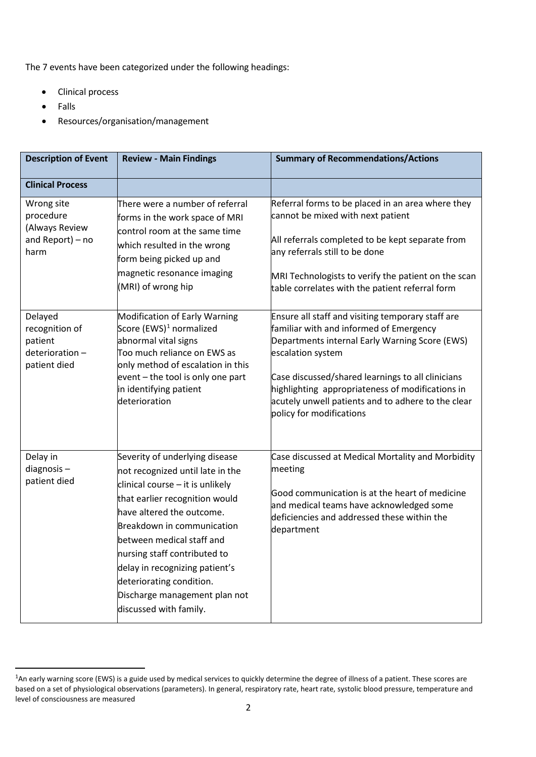The 7 events have been categorized under the following headings:

- Clinical process
- Falls
- Resources/organisation/management

| <b>Description of Event</b>                                            | <b>Review - Main Findings</b>                                                                                                                                                                                                                                                                                                                                                               | <b>Summary of Recommendations/Actions</b>                                                                                                                                                                                                                                                                                                                      |
|------------------------------------------------------------------------|---------------------------------------------------------------------------------------------------------------------------------------------------------------------------------------------------------------------------------------------------------------------------------------------------------------------------------------------------------------------------------------------|----------------------------------------------------------------------------------------------------------------------------------------------------------------------------------------------------------------------------------------------------------------------------------------------------------------------------------------------------------------|
| <b>Clinical Process</b>                                                |                                                                                                                                                                                                                                                                                                                                                                                             |                                                                                                                                                                                                                                                                                                                                                                |
| Wrong site<br>procedure<br>(Always Review<br>and Report) - no<br>harm  | There were a number of referral<br>forms in the work space of MRI<br>control room at the same time<br>which resulted in the wrong<br>form being picked up and<br>magnetic resonance imaging<br>(MRI) of wrong hip                                                                                                                                                                           | Referral forms to be placed in an area where they<br>cannot be mixed with next patient<br>All referrals completed to be kept separate from<br>any referrals still to be done<br>MRI Technologists to verify the patient on the scan<br>table correlates with the patient referral form                                                                         |
| Delayed<br>recognition of<br>patient<br>deterioration-<br>patient died | Modification of Early Warning<br>Score (EWS) <sup>1</sup> normalized<br>abnormal vital signs<br>Too much reliance on EWS as<br>only method of escalation in this<br>event - the tool is only one part<br>in identifying patient<br>deterioration                                                                                                                                            | Ensure all staff and visiting temporary staff are<br>familiar with and informed of Emergency<br>Departments internal Early Warning Score (EWS)<br>escalation system<br>Case discussed/shared learnings to all clinicians<br>highlighting appropriateness of modifications in<br>acutely unwell patients and to adhere to the clear<br>policy for modifications |
| Delay in<br>diagnosis $-$<br>patient died                              | Severity of underlying disease<br>not recognized until late in the<br>clinical course $-$ it is unlikely<br>that earlier recognition would<br>have altered the outcome.<br>Breakdown in communication<br>between medical staff and<br>nursing staff contributed to<br>delay in recognizing patient's<br>deteriorating condition.<br>Discharge management plan not<br>discussed with family. | Case discussed at Medical Mortality and Morbidity<br>meeting<br>Good communication is at the heart of medicine<br>and medical teams have acknowledged some<br>deficiencies and addressed these within the<br>department                                                                                                                                        |

<span id="page-1-0"></span> $\overline{1}$ <sup>1</sup>An early warning score (EWS) is a guide used by medical services to quickly determine the degree of illness of a patient. These scores are based on a set of physiological observations (parameters). In general, respiratory rate, heart rate, systolic blood pressure, temperature and level of consciousness are measured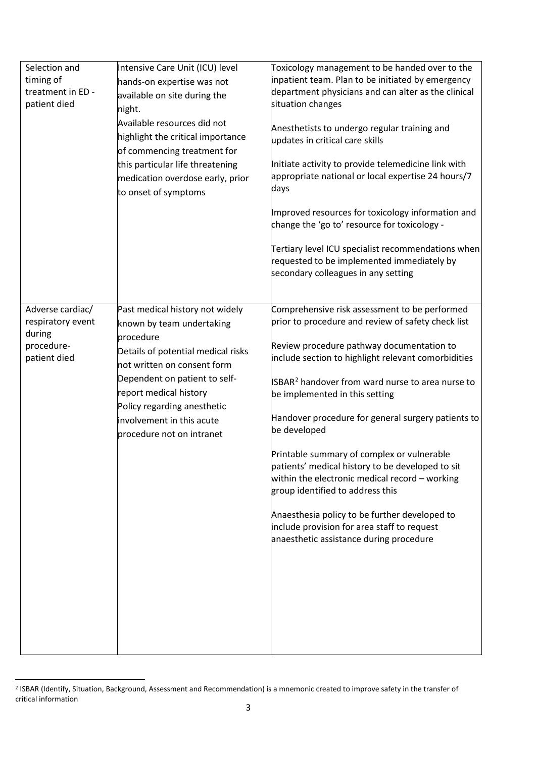| Selection and<br>timing of<br>treatment in ED -<br>patient died               | Intensive Care Unit (ICU) level<br>hands-on expertise was not<br>available on site during the<br>night.<br>Available resources did not<br>highlight the critical importance<br>of commencing treatment for<br>this particular life threatening<br>medication overdose early, prior<br>to onset of symptoms | Toxicology management to be handed over to the<br>inpatient team. Plan to be initiated by emergency<br>department physicians and can alter as the clinical<br>situation changes<br>Anesthetists to undergo regular training and<br>updates in critical care skills<br>Initiate activity to provide telemedicine link with<br>appropriate national or local expertise 24 hours/7<br>days<br>Improved resources for toxicology information and<br>change the 'go to' resource for toxicology -<br>Tertiary level ICU specialist recommendations when<br>requested to be implemented immediately by<br>secondary colleagues in any setting                                                                              |
|-------------------------------------------------------------------------------|------------------------------------------------------------------------------------------------------------------------------------------------------------------------------------------------------------------------------------------------------------------------------------------------------------|----------------------------------------------------------------------------------------------------------------------------------------------------------------------------------------------------------------------------------------------------------------------------------------------------------------------------------------------------------------------------------------------------------------------------------------------------------------------------------------------------------------------------------------------------------------------------------------------------------------------------------------------------------------------------------------------------------------------|
| Adverse cardiac/<br>respiratory event<br>during<br>procedure-<br>patient died | Past medical history not widely<br>known by team undertaking<br>procedure<br>Details of potential medical risks<br>not written on consent form<br>Dependent on patient to self-<br>report medical history<br>Policy regarding anesthetic<br>involvement in this acute<br>procedure not on intranet         | Comprehensive risk assessment to be performed<br>prior to procedure and review of safety check list<br>Review procedure pathway documentation to<br>include section to highlight relevant comorbidities<br>ISBAR <sup>2</sup> handover from ward nurse to area nurse to<br>be implemented in this setting<br>Handover procedure for general surgery patients to<br>be developed<br>Printable summary of complex or vulnerable<br>patients' medical history to be developed to sit<br>within the electronic medical record $-$ working<br>group identified to address this<br>Anaesthesia policy to be further developed to<br>include provision for area staff to request<br>anaesthetic assistance during procedure |

<span id="page-2-0"></span> <sup>2</sup> ISBAR (Identify, Situation, Background, Assessment and Recommendation) is a mnemonic created to improve safety in the transfer of critical information